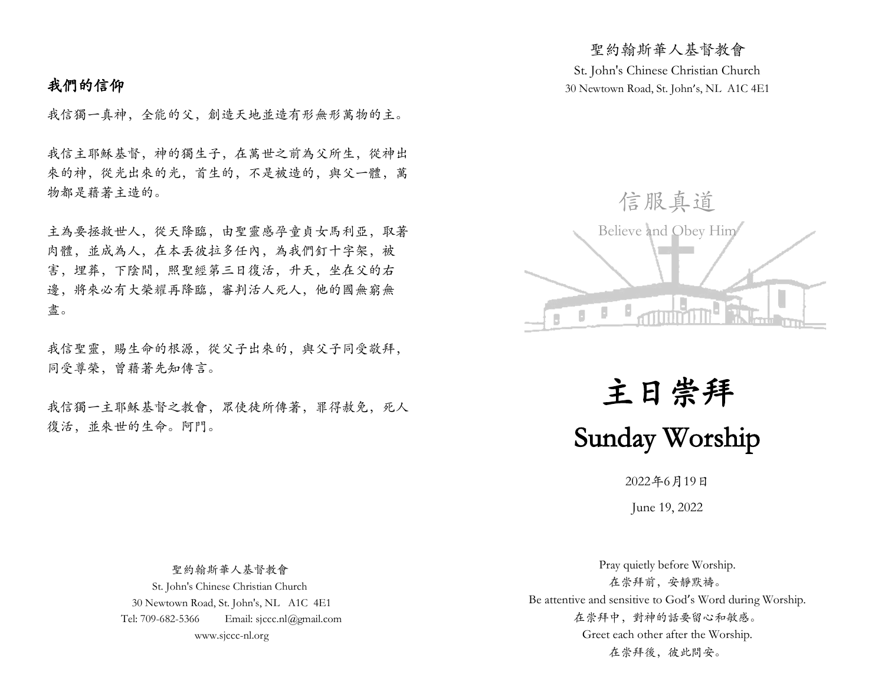# 我們的信仰

我信獨一真神,全能的父,創造天地並造有形無形萬物的主。

我信主耶穌基督,神的獨生子,在萬世之前為父所生,從神出 來的神,從光出來的光,首生的,不是被造的,與父一體,萬 物都是藉著主造的。

主為要拯救世人,從天降臨,由聖靈感孕童貞女馬利亞,取著 肉體,並成為人,在本丟彼拉多任內,為我們釘十字架,被 害,埋葬,下陰間,照聖經第三日復活,升天,坐在父的右 邊,將來必有大榮耀再降臨,審判活人死人,他的國無窮無 盡。

我信聖靈,賜生命的根源,從父子出來的,與父子同受敬拜, 同受尊榮,曾藉著先知傳言。

我信獨一主耶穌基督之教會,眾使徒所傳著,罪得赦免,死人 復活,並來世的生命。阿門。

St. John's Chinese Christian Church 30 Newtown Road, St. John's, NL A1C 4E1

聖約翰斯華人基督教會



主日崇拜 Sunday Worship

2022年6月19日

June 19, 2022

 聖約翰斯華人基督教會 St. John's Chinese Christian Church 30 Newtown Road, St. John's, NL A1C 4E1 Tel: 709-682-5366 Email: sjccc.nl@gmail.com www.sjccc-nl.org

Pray quietly before Worship. 在崇拜前,安靜默禱。 Be attentive and sensitive to God's Word during Worship. 在崇拜中,對神的話要留心和敏感。 Greet each other after the Worship. 在崇拜後, 彼此問安。